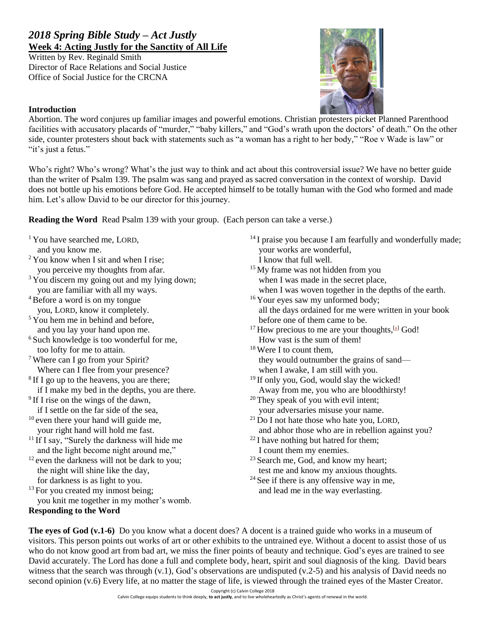## *2018 Spring Bible Study – Act Justly* **Week 4: Acting Justly for the Sanctity of All Life**

Written by Rev. Reginald Smith Director of Race Relations and Social Justice Office of Social Justice for the CRCNA



## **Introduction**

Abortion. The word conjures up familiar images and powerful emotions. Christian protesters picket Planned Parenthood facilities with accusatory placards of "murder," "baby killers," and "God's wrath upon the doctors' of death." On the other side, counter protesters shout back with statements such as "a woman has a right to her body," "Roe v Wade is law" or "it's just a fetus."

Who's right? Who's wrong? What's the just way to think and act about this controversial issue? We have no better guide than the writer of Psalm 139. The psalm was sang and prayed as sacred conversation in the context of worship. David does not bottle up his emotions before God. He accepted himself to be totally human with the God who formed and made him. Let's allow David to be our director for this journey.

**Reading the Word** Read Psalm 139 with your group. (Each person can take a verse.)

- <sup>1</sup> You have searched me, LORD,
- and you know me.
- $2$  You know when I sit and when I rise; you perceive my thoughts from afar.
- <sup>3</sup> You discern my going out and my lying down; you are familiar with all my ways.
- <sup>4</sup>Before a word is on my tongue you, LORD, know it completely.
- $5$  You hem me in behind and before. and you lay your hand upon me.
- <sup>6</sup> Such knowledge is too wonderful for me, too lofty for me to attain.
- <sup>7</sup> Where can I go from your Spirit? Where can I flee from your presence?
- <sup>8</sup> If I go up to the heavens, you are there;
- if I make my bed in the depths, you are there.
- <sup>9</sup> If I rise on the wings of the dawn, if I settle on the far side of the sea,
- $10$  even there your hand will guide me,
- your right hand will hold me fast.
- <sup>11</sup> If I say, "Surely the darkness will hide me and the light become night around me,"
- $12$  even the darkness will not be dark to you; the night will shine like the day, for darkness is as light to you.
- $13$  For you created my inmost being; you knit me together in my mother's womb.
- **Responding to the Word**
- <sup>14</sup> I praise you because I am fearfully and wonderfully made; your works are wonderful, I know that full well.
- <sup>15</sup> My frame was not hidden from you when I was made in the secret place, when I was woven together in the depths of the earth.
- <sup>16</sup> Your eyes saw my unformed body; all the days ordained for me were written in your book
- before one of them came to be.
- $17$  How precious to me are your thoughts,  $[a]$  God! How vast is the sum of them!
- <sup>18</sup> Were I to count them, they would outnumber the grains of sand when I awake, I am still with you.
- <sup>19</sup> If only you, God, would slay the wicked! Away from me, you who are bloodthirsty!
- <sup>20</sup> They speak of you with evil intent; your adversaries misuse your name.
- $21$  Do I not hate those who hate you, LORD, and abhor those who are in rebellion against you?
- $22$  I have nothing but hatred for them; I count them my enemies.
- <sup>23</sup> Search me, God, and know my heart; test me and know my anxious thoughts.
- <sup>24</sup> See if there is any offensive way in me, and lead me in the way everlasting.

**The eyes of God (v.1-6)** Do you know what a docent does? A docent is a trained guide who works in a museum of visitors. This person points out works of art or other exhibits to the untrained eye. Without a docent to assist those of us who do not know good art from bad art, we miss the finer points of beauty and technique. God's eyes are trained to see David accurately. The Lord has done a full and complete body, heart, spirit and soul diagnosis of the king. David bears witness that the search was through (v.1), God's observations are undisputed (v.2-5) and his analysis of David needs no second opinion (v.6) Every life, at no matter the stage of life, is viewed through the trained eyes of the Master Creator.